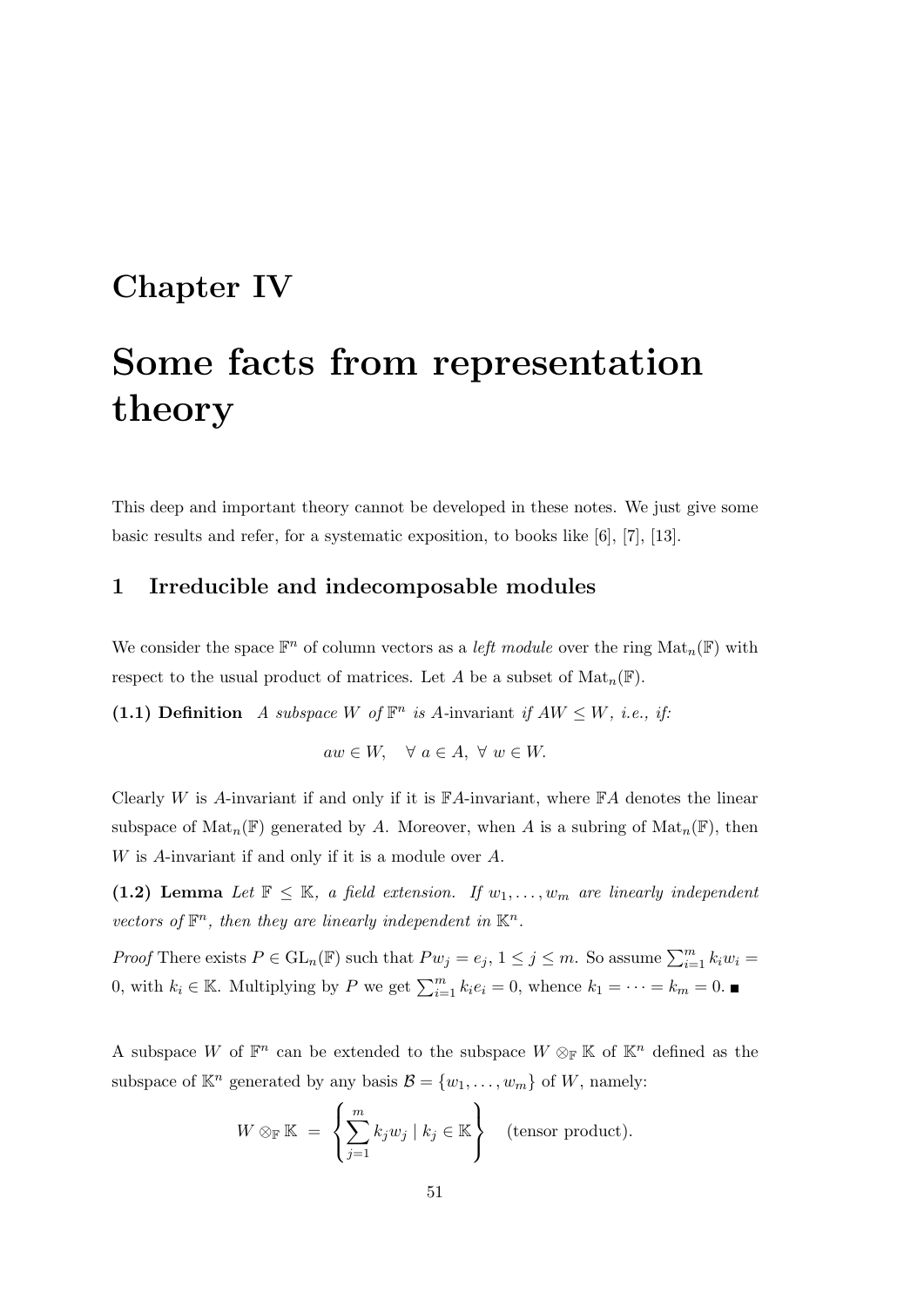# Chapter IV

# Some facts from representation theory

This deep and important theory cannot be developed in these notes. We just give some basic results and refer, for a systematic exposition, to books like [6], [7], [13].

### 1 Irreducible and indecomposable modules

We consider the space  $\mathbb{F}^n$  of column vectors as a *left module* over the ring  $\text{Mat}_n(\mathbb{F})$  with respect to the usual product of matrices. Let A be a subset of  $\text{Mat}_n(\mathbb{F})$ .

(1.1) Definition A subspace W of  $\mathbb{F}^n$  is A-invariant if  $AW \leq W$ , i.e., if:

 $aw \in W$ ,  $\forall a \in A, \forall w \in W$ .

Clearly W is A-invariant if and only if it is  $\mathbb{F}A$ -invariant, where  $\mathbb{F}A$  denotes the linear subspace of  $\text{Mat}_n(\mathbb{F})$  generated by A. Moreover, when A is a subring of  $\text{Mat}_n(\mathbb{F})$ , then W is A-invariant if and only if it is a module over A.

(1.2) Lemma Let  $\mathbb{F} \leq \mathbb{K}$ , a field extension. If  $w_1, \ldots, w_m$  are linearly independent vectors of  $\mathbb{F}^n$ , then they are linearly independent in  $\mathbb{K}^n$ .

*Proof* There exists  $P \in GL_n(\mathbb{F})$  such that  $Pw_j = e_j$ ,  $1 \le j \le m$ . So assume  $\sum_{i=1}^m k_iw_i =$ 0, with  $k_i \in \mathbb{K}$ . Multiplying by P we get  $\sum_{i=1}^{m} k_i e_i = 0$ , whence  $k_1 = \cdots = k_m = 0$ .

A subspace W of  $\mathbb{F}^n$  can be extended to the subspace  $W \otimes_{\mathbb{F}} \mathbb{K}$  of  $\mathbb{K}^n$  defined as the subspace of  $\mathbb{K}^n$  generated by any basis  $\mathcal{B} = \{w_1, \ldots, w_m\}$  of W, namely:

$$
W \otimes_{\mathbb{F}} \mathbb{K} = \left\{ \sum_{j=1}^{m} k_j w_j \mid k_j \in \mathbb{K} \right\} \quad \text{(tensor product)}.
$$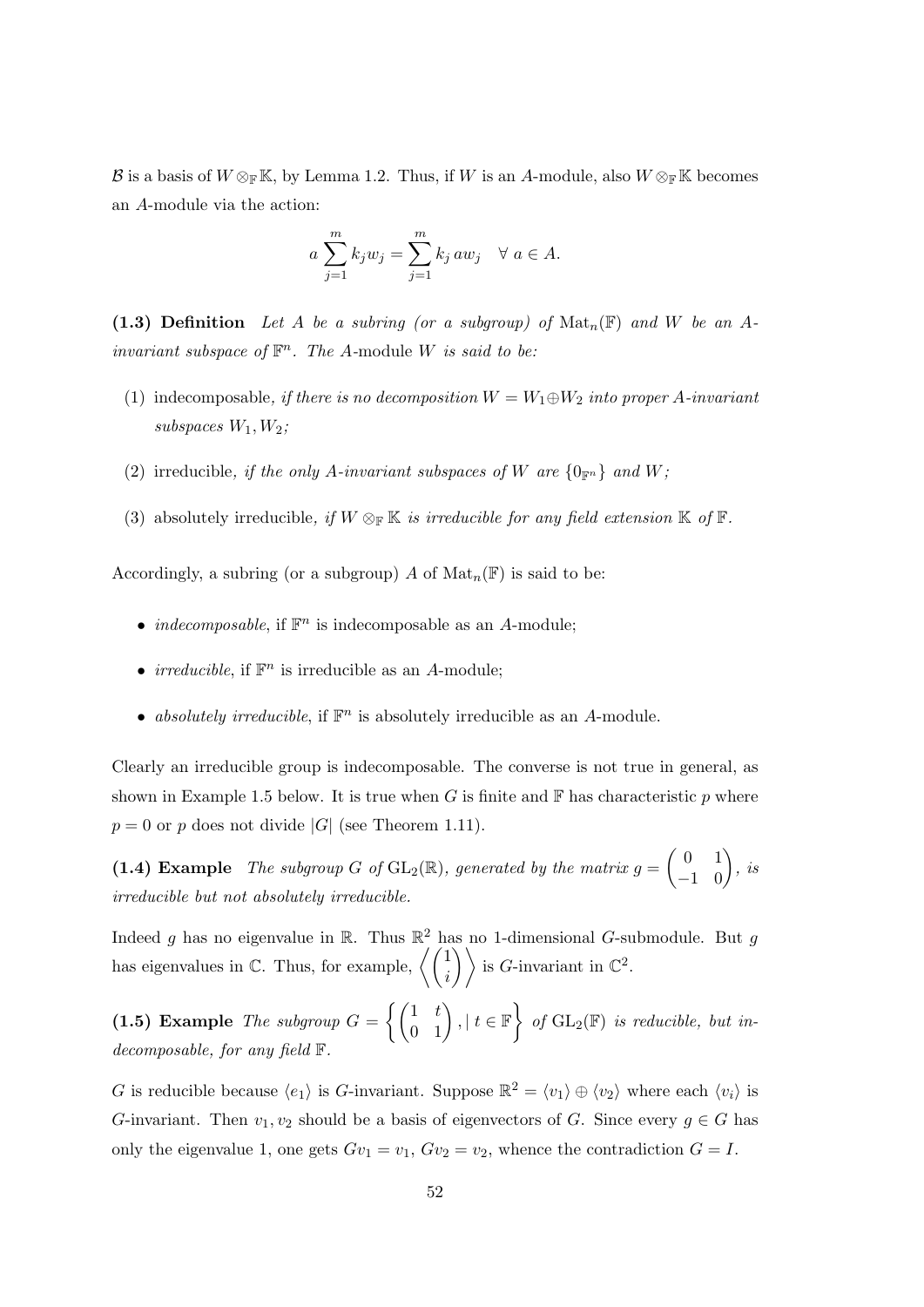B is a basis of  $W \otimes_{\mathbb{F}} \mathbb{K}$ , by Lemma 1.2. Thus, if W is an A-module, also  $W \otimes_{\mathbb{F}} \mathbb{K}$  becomes an A-module via the action:

$$
a \sum_{j=1}^{m} k_j w_j = \sum_{j=1}^{m} k_j a w_j \quad \forall \ a \in A.
$$

(1.3) Definition Let A be a subring (or a subgroup) of  $\mathrm{Mat}_n(\mathbb{F})$  and W be an Ainvariant subspace of  $\mathbb{F}^n$ . The A-module W is said to be:

- (1) indecomposable, if there is no decomposition  $W = W_1 \oplus W_2$  into proper A-invariant subspaces  $W_1, W_2$ ;
- (2) irreducible, if the only A-invariant subspaces of W are  $\{0_{\mathbb{F}^n}\}\$  and W;
- (3) absolutely irreducible, if  $W \otimes_{\mathbb{F}} \mathbb{K}$  is irreducible for any field extension  $\mathbb{K}$  of  $\mathbb{F}$ .

Accordingly, a subring (or a subgroup) A of  $\text{Mat}_n(\mathbb{F})$  is said to be:

- *indecomposable*, if  $\mathbb{F}^n$  is indecomposable as an A-module;
- *irreducible*, if  $\mathbb{F}^n$  is irreducible as an A-module;
- absolutely irreducible, if  $\mathbb{F}^n$  is absolutely irreducible as an A-module.

Clearly an irreducible group is indecomposable. The converse is not true in general, as shown in Example 1.5 below. It is true when G is finite and  $\mathbb F$  has characteristic p where  $p = 0$  or p does not divide |G| (see Theorem 1.11).

(1.4) Example The subgroup G of  $GL_2(\mathbb{R})$ , generated by the matrix  $g = \begin{pmatrix} 0 & 1 \\ -1 & 0 \end{pmatrix}$ , is irreducible but not absolutely irreducible.

Indeed g has no eigenvalue in  $\mathbb{R}$ . Thus  $\mathbb{R}^2$  has no 1-dimensional G-submodule. But g has eigenvalues in  $\mathbb{C}$ . Thus, for example,  $\left\langle \begin{pmatrix} 1 \\ i \end{pmatrix} \right\rangle$  is *G*-invariant in  $\mathbb{C}^2$ .

(1.5) Example The subgroup  $G = \left\{ \begin{pmatrix} 1 & t \\ 0 & 1 \end{pmatrix}, | t \in \mathbb{F} \right\}$  of  $GL_2(\mathbb{F})$  is reducible, but indecomposable, for any field F.

G is reducible because  $\langle e_1 \rangle$  is G-invariant. Suppose  $\mathbb{R}^2 = \langle v_1 \rangle \oplus \langle v_2 \rangle$  where each  $\langle v_i \rangle$  is G-invariant. Then  $v_1, v_2$  should be a basis of eigenvectors of G. Since every  $g \in G$  has only the eigenvalue 1, one gets  $Gv_1 = v_1$ ,  $Gv_2 = v_2$ , whence the contradiction  $G = I$ .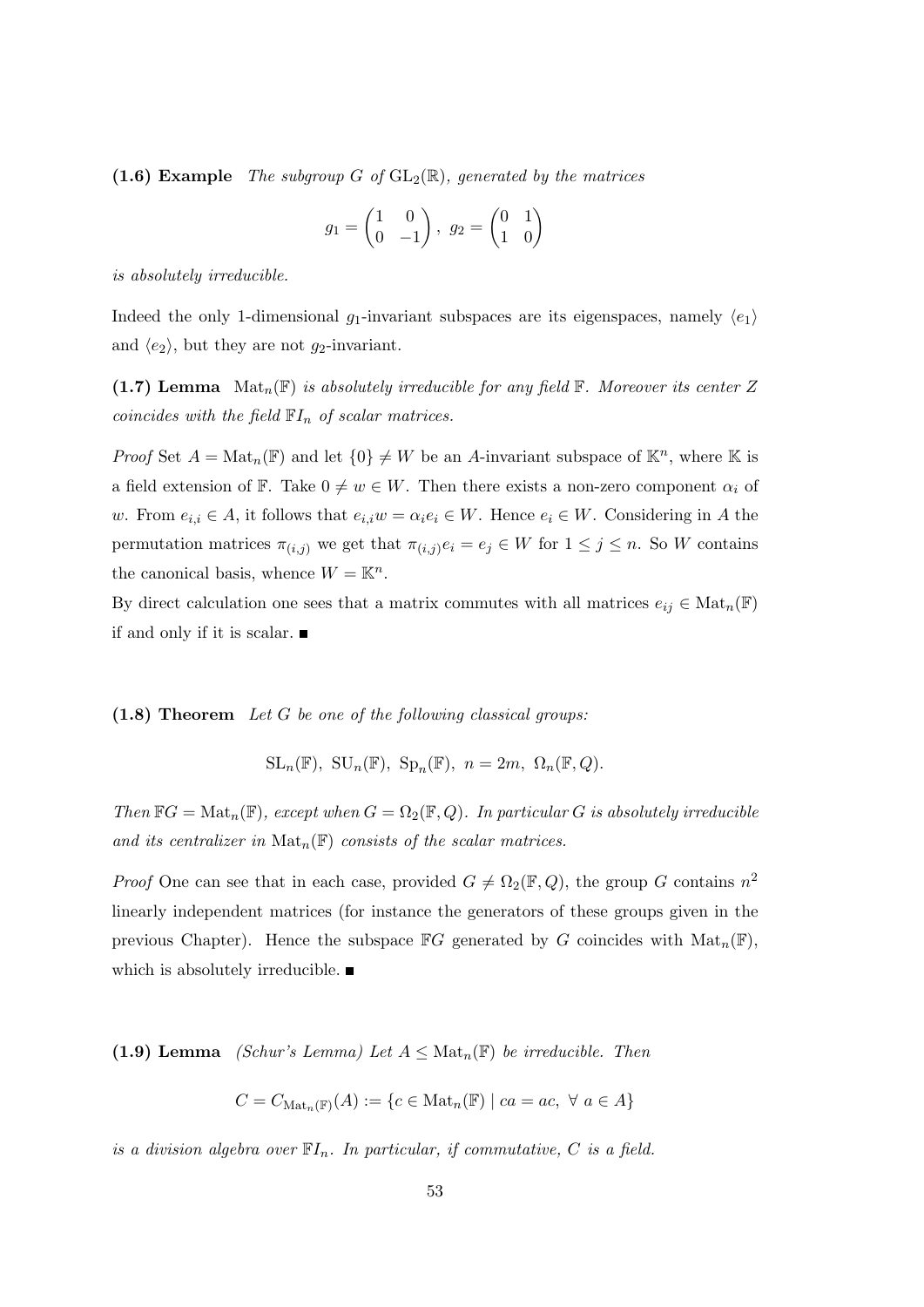(1.6) Example The subgroup G of  $GL_2(\mathbb{R})$ , generated by the matrices

$$
g_1 = \begin{pmatrix} 1 & 0 \\ 0 & -1 \end{pmatrix}, \ g_2 = \begin{pmatrix} 0 & 1 \\ 1 & 0 \end{pmatrix}
$$

is absolutely irreducible.

Indeed the only 1-dimensional  $g_1$ -invariant subspaces are its eigenspaces, namely  $\langle e_1 \rangle$ and  $\langle e_2 \rangle$ , but they are not  $g_2$ -invariant.

(1.7) Lemma  $\text{Mat}_n(\mathbb{F})$  is absolutely irreducible for any field  $\mathbb{F}$ . Moreover its center Z coincides with the field  $\mathbb{F}I_n$  of scalar matrices.

*Proof* Set  $A = Mat_n(\mathbb{F})$  and let  $\{0\} \neq W$  be an A-invariant subspace of  $\mathbb{K}^n$ , where  $\mathbb{K}$  is a field extension of F. Take  $0 \neq w \in W$ . Then there exists a non-zero component  $\alpha_i$  of w. From  $e_{i,i} \in A$ , it follows that  $e_{i,i}w = \alpha_i e_i \in W$ . Hence  $e_i \in W$ . Considering in A the permutation matrices  $\pi_{(i,j)}$  we get that  $\pi_{(i,j)}e_i = e_j \in W$  for  $1 \leq j \leq n$ . So W contains the canonical basis, whence  $W = \mathbb{K}^n$ .

By direct calculation one sees that a matrix commutes with all matrices  $e_{ij} \in Mat_n(\mathbb{F})$ if and only if it is scalar.

 $(1.8)$  Theorem Let G be one of the following classical groups:

$$
\mathrm{SL}_n(\mathbb{F}), \ \mathrm{SU}_n(\mathbb{F}), \ \mathrm{Sp}_n(\mathbb{F}), \ n=2m, \ \Omega_n(\mathbb{F},Q).
$$

Then  $\mathbb{F}G = \text{Mat}_n(\mathbb{F})$ , except when  $G = \Omega_2(\mathbb{F}, Q)$ . In particular G is absolutely irreducible and its centralizer in  $\text{Mat}_n(\mathbb{F})$  consists of the scalar matrices.

*Proof* One can see that in each case, provided  $G \neq \Omega_2(\mathbb{F}, Q)$ , the group G contains  $n^2$ linearly independent matrices (for instance the generators of these groups given in the previous Chapter). Hence the subspace  $\mathbb{F}G$  generated by G coincides with  $\text{Mat}_n(\mathbb{F})$ , which is absolutely irreducible.  $\blacksquare$ 

(1.9) Lemma *(Schur's Lemma)* Let  $A \leq Mat_n(\mathbb{F})$  be irreducible. Then

$$
C = C_{\text{Mat}_n(\mathbb{F})}(A) := \{ c \in \text{Mat}_n(\mathbb{F}) \mid ca = ac, \ \forall \ a \in A \}
$$

is a division algebra over  $\mathbb{F}I_n$ . In particular, if commutative, C is a field.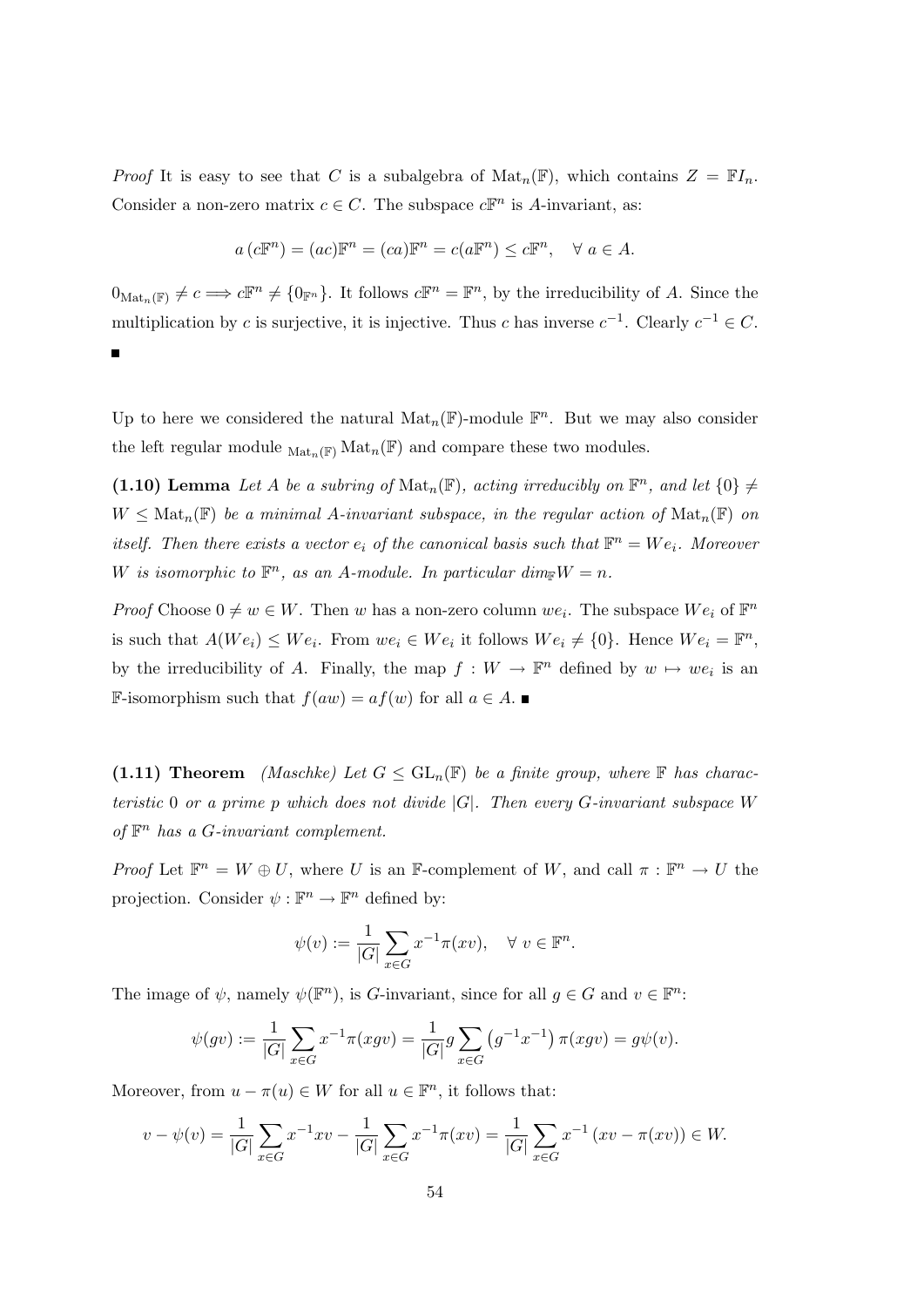*Proof* It is easy to see that C is a subalgebra of  $\text{Mat}_n(\mathbb{F})$ , which contains  $Z = \mathbb{F}I_n$ . Consider a non-zero matrix  $c \in C$ . The subspace  $c\mathbb{F}^n$  is A-invariant, as:

$$
a(c\mathbb{F}^n) = (ac)\mathbb{F}^n = (ca)\mathbb{F}^n = c(a\mathbb{F}^n) \le c\mathbb{F}^n, \quad \forall \ a \in A.
$$

 $0_{\text{Mat}_n(\mathbb{F})} \neq c \Longrightarrow c\mathbb{F}^n \neq \{0_{\mathbb{F}^n}\}.$  It follows  $c\mathbb{F}^n = \mathbb{F}^n$ , by the irreducibility of A. Since the multiplication by c is surjective, it is injective. Thus c has inverse  $c^{-1}$ . Clearly  $c^{-1} \in C$ .  $\blacksquare$ 

Up to here we considered the natural  $\text{Mat}_n(\mathbb{F})$ -module  $\mathbb{F}^n$ . But we may also consider the left regular module  $_{\text{Mat}_n(\mathbb{F})} \text{Mat}_n(\mathbb{F})$  and compare these two modules.

(1.10) Lemma Let A be a subring of  $\text{Mat}_n(\mathbb{F})$ , acting irreducibly on  $\mathbb{F}^n$ , and let  $\{0\} \neq$  $W \leq \text{Mat}_n(\mathbb{F})$  be a minimal A-invariant subspace, in the regular action of  $\text{Mat}_n(\mathbb{F})$  on itself. Then there exists a vector  $e_i$  of the canonical basis such that  $\mathbb{F}^n = We_i$ . Moreover W is isomorphic to  $\mathbb{F}^n$ , as an A-module. In particular dim $\mathbb{F}^W = n$ .

*Proof* Choose  $0 \neq w \in W$ . Then w has a non-zero column we<sub>i</sub>. The subspace  $We_i$  of  $\mathbb{F}^n$ is such that  $A(We_i) \leq We_i$ . From  $we_i \in We_i$  it follows  $We_i \neq \{0\}$ . Hence  $We_i = \mathbb{F}^n$ , by the irreducibility of A. Finally, the map  $f: W \to \mathbb{F}^n$  defined by  $w \mapsto we_i$  is an **F**-isomorphism such that  $f(aw) = af(w)$  for all  $a \in A$ . ■

(1.11) Theorem *(Maschke)* Let  $G \leq GL_n(\mathbb{F})$  be a finite group, where  $\mathbb F$  has characteristic 0 or a prime p which does not divide  $|G|$ . Then every G-invariant subspace W of  $\mathbb{F}^n$  has a G-invariant complement.

*Proof* Let  $\mathbb{F}^n = W \oplus U$ , where U is an F-complement of W, and call  $\pi : \mathbb{F}^n \to U$  the projection. Consider  $\psi : \mathbb{F}^n \to \mathbb{F}^n$  defined by:

$$
\psi(v) := \frac{1}{|G|} \sum_{x \in G} x^{-1} \pi(xv), \quad \forall \ v \in \mathbb{F}^n.
$$

The image of  $\psi$ , namely  $\psi(\mathbb{F}^n)$ , is *G*-invariant, since for all  $g \in G$  and  $v \in \mathbb{F}^n$ :

$$
\psi(gv) := \frac{1}{|G|} \sum_{x \in G} x^{-1} \pi(xgv) = \frac{1}{|G|} g \sum_{x \in G} (g^{-1} x^{-1}) \pi(xgv) = g\psi(v).
$$

Moreover, from  $u - \pi(u) \in W$  for all  $u \in \mathbb{F}^n$ , it follows that:

$$
v - \psi(v) = \frac{1}{|G|} \sum_{x \in G} x^{-1} x v - \frac{1}{|G|} \sum_{x \in G} x^{-1} \pi(xv) = \frac{1}{|G|} \sum_{x \in G} x^{-1} (xv - \pi(xv)) \in W.
$$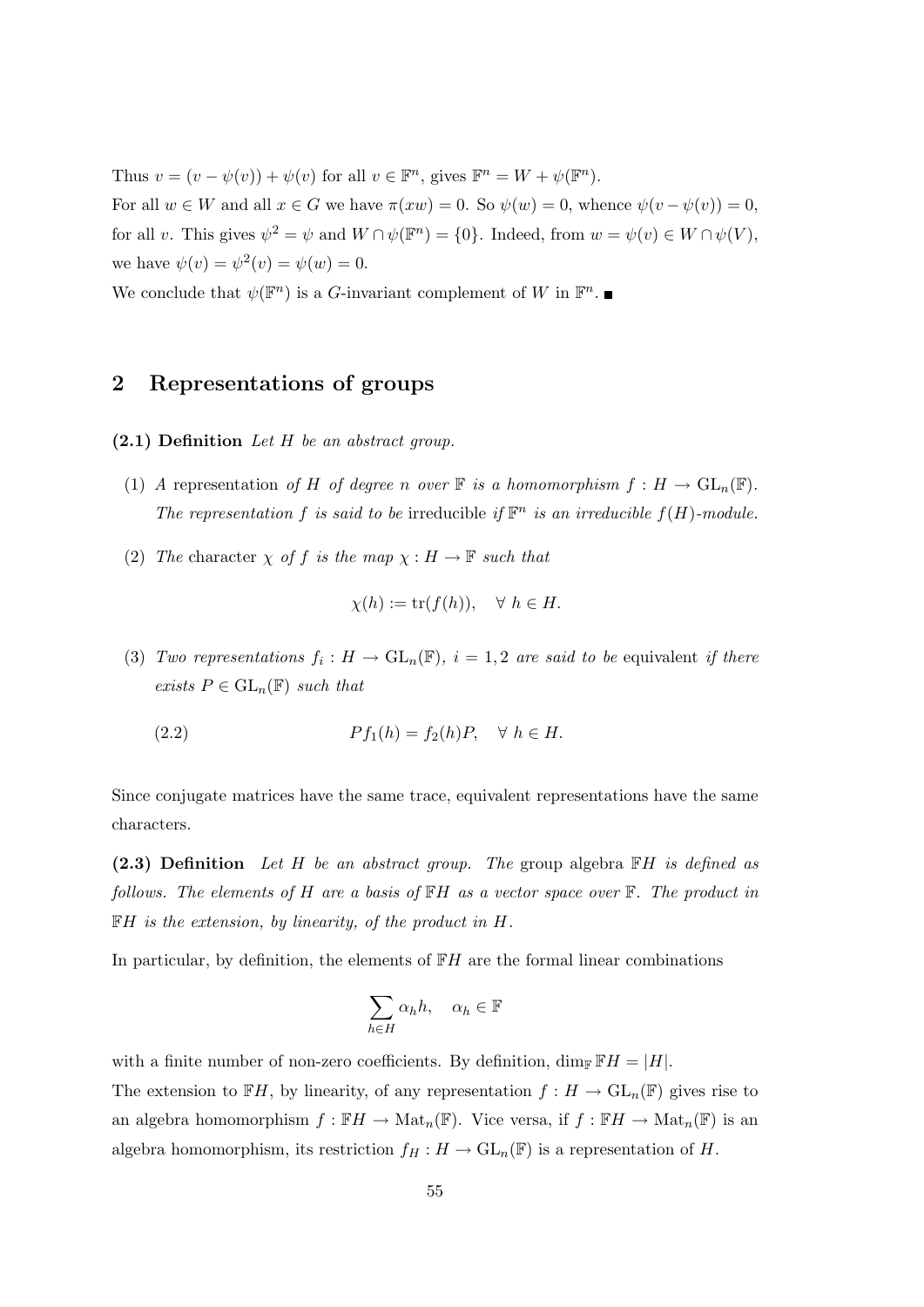Thus  $v = (v - \psi(v)) + \psi(v)$  for all  $v \in \mathbb{F}^n$ , gives  $\mathbb{F}^n = W + \psi(\mathbb{F}^n)$ .

For all  $w \in W$  and all  $x \in G$  we have  $\pi(xw) = 0$ . So  $\psi(w) = 0$ , whence  $\psi(v - \psi(v)) = 0$ , for all v. This gives  $\psi^2 = \psi$  and  $W \cap \psi(\mathbb{F}^n) = \{0\}$ . Indeed, from  $w = \psi(v) \in W \cap \psi(V)$ , we have  $\psi(v) = \psi^2(v) = \psi(w) = 0$ .

We conclude that  $\psi(\mathbb{F}^n)$  is a G-invariant complement of W in  $\mathbb{F}^n$ .

## 2 Representations of groups

 $(2.1)$  Definition Let H be an abstract group.

- (1) A representation of H of degree n over  $\mathbb F$  is a homomorphism  $f : H \to GL_n(\mathbb F)$ . The representation f is said to be irreducible if  $\mathbb{F}^n$  is an irreducible  $f(H)$ -module.
- (2) The character  $\chi$  of f is the map  $\chi : H \to \mathbb{F}$  such that

$$
\chi(h) := \text{tr}(f(h)), \quad \forall \ h \in H.
$$

(3) Two representations  $f_i: H \to GL_n(\mathbb{F}), i = 1, 2$  are said to be equivalent if there exists  $P \in GL_n(\mathbb{F})$  such that

$$
(2.2) \t\t\t\tPf_1(h) = f_2(h)P, \quad \forall \ h \in H.
$$

Since conjugate matrices have the same trace, equivalent representations have the same characters.

(2.3) Definition Let H be an abstract group. The group algebra  $\mathbb{F}H$  is defined as follows. The elements of H are a basis of  $\mathbb{F}H$  as a vector space over  $\mathbb{F}$ . The product in  $\mathbb{F}H$  is the extension, by linearity, of the product in H.

In particular, by definition, the elements of  $\mathbb{F}H$  are the formal linear combinations

$$
\sum_{h \in H} \alpha_h h, \quad \alpha_h \in \mathbb{F}
$$

with a finite number of non-zero coefficients. By definition,  $\dim_{\mathbb{F}} \mathbb{F}H = |H|$ .

The extension to  $\mathbb{F}H$ , by linearity, of any representation  $f : H \to \mathrm{GL}_n(\mathbb{F})$  gives rise to an algebra homomorphism  $f : \mathbb{F}H \to \mathrm{Mat}_n(\mathbb{F})$ . Vice versa, if  $f : \mathbb{F}H \to \mathrm{Mat}_n(\mathbb{F})$  is an algebra homomorphism, its restriction  $f_H : H \to GL_n(\mathbb{F})$  is a representation of H.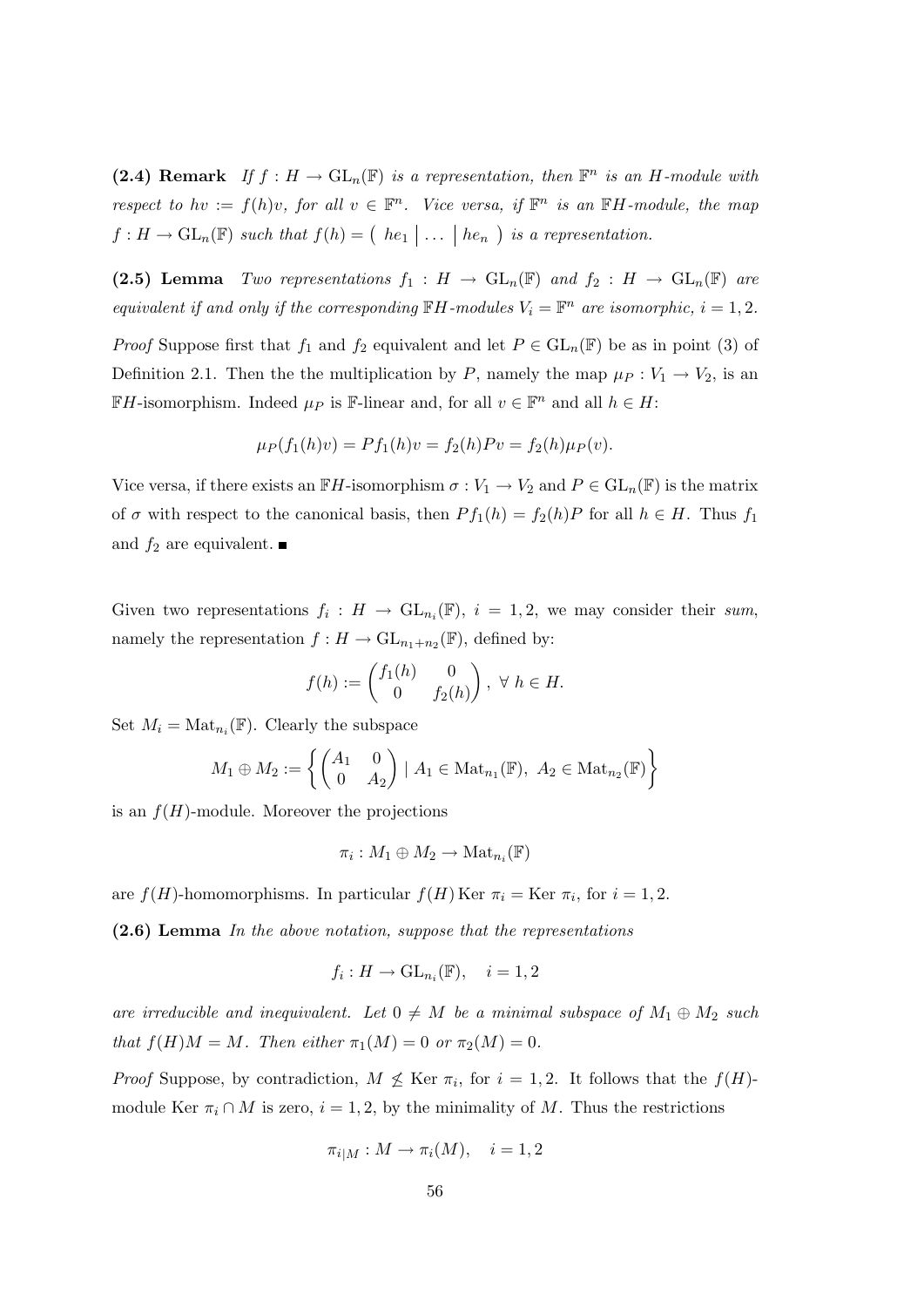(2.4) Remark If  $f: H \to GL_n(\mathbb{F})$  is a representation, then  $\mathbb{F}^n$  is an H-module with respect to hv :=  $f(h)v$ , for all  $v \in \mathbb{F}^n$ . Vice versa, if  $\mathbb{F}^n$  is an  $\mathbb{F}H$ -module, the map  $f: H \to \mathrm{GL}_n(\mathbb{F})$  such that  $f(h) = (he_1 | \dots | he_n)$  is a representation.

(2.5) Lemma Two representations  $f_1 : H \to GL_n(\mathbb{F})$  and  $f_2 : H \to GL_n(\mathbb{F})$  are equivalent if and only if the corresponding  $\mathbb{F}H$ -modules  $V_i = \mathbb{F}^n$  are isomorphic,  $i = 1, 2$ .

*Proof* Suppose first that  $f_1$  and  $f_2$  equivalent and let  $P \in GL_n(\mathbb{F})$  be as in point (3) of Definition 2.1. Then the the multiplication by P, namely the map  $\mu_P : V_1 \to V_2$ , is an  $\mathbb{F}H$ -isomorphism. Indeed  $\mu_P$  is  $\mathbb{F}$ -linear and, for all  $v \in \mathbb{F}^n$  and all  $h \in H$ :

$$
\mu_P(f_1(h)v) = Pf_1(h)v = f_2(h)Pv = f_2(h)\mu_P(v).
$$

Vice versa, if there exists an  $\mathbb{F}H$ -isomorphism  $\sigma: V_1 \to V_2$  and  $P \in GL_n(\mathbb{F})$  is the matrix of  $\sigma$  with respect to the canonical basis, then  $P f_1(h) = f_2(h) P$  for all  $h \in H$ . Thus  $f_1$ and  $f_2$  are equivalent.

Given two representations  $f_i: H \to GL_{n_i}(\mathbb{F}), i = 1, 2$ , we may consider their sum, namely the representation  $f: H \to \mathrm{GL}_{n_1+n_2}(\mathbb{F})$ , defined by:

$$
f(h) := \begin{pmatrix} f_1(h) & 0 \\ 0 & f_2(h) \end{pmatrix}, \ \forall \ h \in H.
$$

Set  $M_i = \text{Mat}_{n_i}(\mathbb{F})$ . Clearly the subspace

$$
M_1 \oplus M_2 := \left\{ \begin{pmatrix} A_1 & 0 \\ 0 & A_2 \end{pmatrix} | A_1 \in \text{Mat}_{n_1}(\mathbb{F}), A_2 \in \text{Mat}_{n_2}(\mathbb{F}) \right\}
$$

is an  $f(H)$ -module. Moreover the projections

$$
\pi_i: M_1 \oplus M_2 \to \mathrm{Mat}_{n_i}(\mathbb{F})
$$

are  $f(H)$ -homomorphisms. In particular  $f(H)$  Ker  $\pi_i =$  Ker  $\pi_i$ , for  $i = 1, 2$ .

(2.6) Lemma In the above notation, suppose that the representations

$$
f_i: H \to \mathrm{GL}_{n_i}(\mathbb{F}), \quad i = 1, 2
$$

are irreducible and inequivalent. Let  $0 \neq M$  be a minimal subspace of  $M_1 \oplus M_2$  such that  $f(H)M = M$ . Then either  $\pi_1(M) = 0$  or  $\pi_2(M) = 0$ .

*Proof* Suppose, by contradiction,  $M \not\leq$  Ker  $\pi_i$ , for  $i = 1, 2$ . It follows that the  $f(H)$ module Ker  $\pi_i \cap M$  is zero,  $i = 1, 2$ , by the minimality of M. Thus the restrictions

$$
\pi_{i|M}: M \to \pi_i(M), \quad i = 1, 2
$$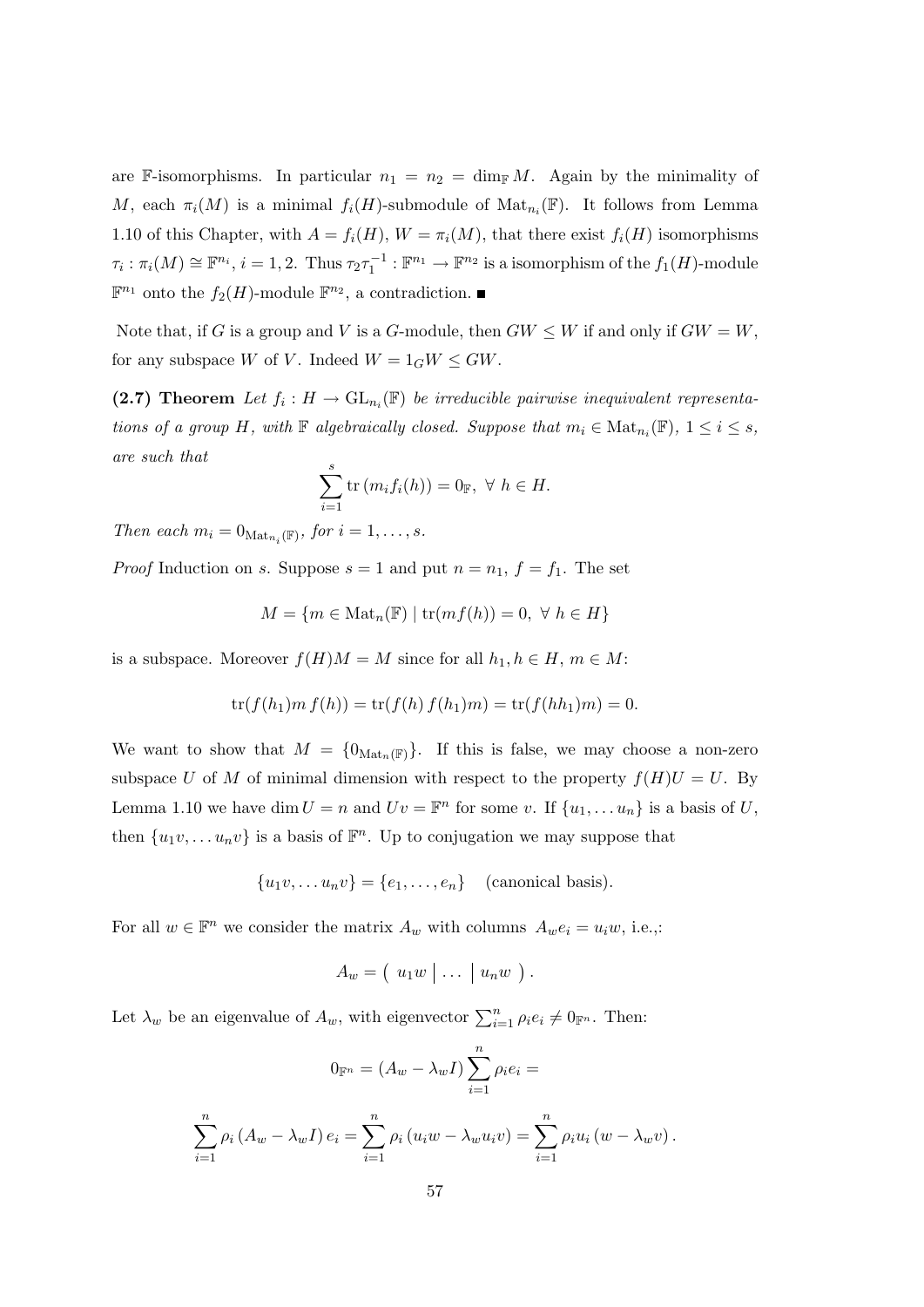are F-isomorphisms. In particular  $n_1 = n_2 = \dim_{\mathbb{F}} M$ . Again by the minimality of M, each  $\pi_i(M)$  is a minimal  $f_i(H)$ -submodule of  $\text{Mat}_{n_i}(\mathbb{F})$ . It follows from Lemma 1.10 of this Chapter, with  $A = f_i(H)$ ,  $W = \pi_i(M)$ , that there exist  $f_i(H)$  isomorphisms  $\tau_i : \pi_i(M) \cong \mathbb{F}^{n_i}, i = 1, 2$ . Thus  $\tau_2 \tau_1^{-1} : \mathbb{F}^{n_1} \to \mathbb{F}^{n_2}$  is a isomorphism of the  $f_1(H)$ -module  $\mathbb{F}^{n_1}$  onto the  $f_2(H)$ -module  $\mathbb{F}^{n_2}$ , a contradiction.

Note that, if G is a group and V is a G-module, then  $GW \leq W$  if and only if  $GW = W$ , for any subspace W of V. Indeed  $W = 1_G W \le GW$ .

(2.7) Theorem Let  $f_i: H \to GL_{n_i}(\mathbb{F})$  be irreducible pairwise inequivalent representations of a group H, with  $\mathbb F$  algebraically closed. Suppose that  $m_i \in \text{Mat}_{n_i}(\mathbb F)$ ,  $1 \leq i \leq s$ , are such that

$$
\sum_{i=1}^{s} \operatorname{tr}(m_i f_i(h)) = 0_{\mathbb{F}}, \ \forall \ h \in H.
$$

Then each  $m_i = 0_{\text{Mat}_{n_i}(\mathbb{F})}$ , for  $i = 1, \ldots, s$ .

*Proof* Induction on s. Suppose  $s = 1$  and put  $n = n_1$ ,  $f = f_1$ . The set

$$
M = \{ m \in Mat_n(\mathbb{F}) \mid \text{tr}(mf(h)) = 0, \ \forall \ h \in H \}
$$

is a subspace. Moreover  $f(H)M = M$  since for all  $h_1, h \in H$ ,  $m \in M$ :

$$
\text{tr}(f(h_1)m f(h)) = \text{tr}(f(h) f(h_1)m) = \text{tr}(f(hh_1)m) = 0.
$$

We want to show that  $M = \{0_{\text{Mat}_n(\mathbb{F})}\}.$  If this is false, we may choose a non-zero subspace U of M of minimal dimension with respect to the property  $f(H)U = U$ . By Lemma 1.10 we have dim  $U = n$  and  $Uv = \mathbb{F}^n$  for some v. If  $\{u_1, \ldots u_n\}$  is a basis of U, then  $\{u_1v, \ldots u_nv\}$  is a basis of  $\mathbb{F}^n$ . Up to conjugation we may suppose that

$$
\{u_1v,\ldots u_nv\} = \{e_1,\ldots,e_n\} \quad \text{(canonical basis)}.
$$

For all  $w \in \mathbb{F}^n$  we consider the matrix  $A_w$  with columns  $A_w e_i = u_i w$ , i.e.,:

$$
A_w = (u_1w \mid \ldots \mid u_nw \mid).
$$

Let  $\lambda_w$  be an eigenvalue of  $A_w$ , with eigenvector  $\sum_{i=1}^n \rho_i e_i \neq 0_{\mathbb{F}^n}$ . Then:

$$
0_{\mathbb{F}^n} = (A_w - \lambda_w I) \sum_{i=1}^n \rho_i e_i =
$$

$$
\sum_{i=1}^n \rho_i (A_w - \lambda_w I) e_i = \sum_{i=1}^n \rho_i (u_i w - \lambda_w u_i v) = \sum_{i=1}^n \rho_i u_i (w - \lambda_w v).
$$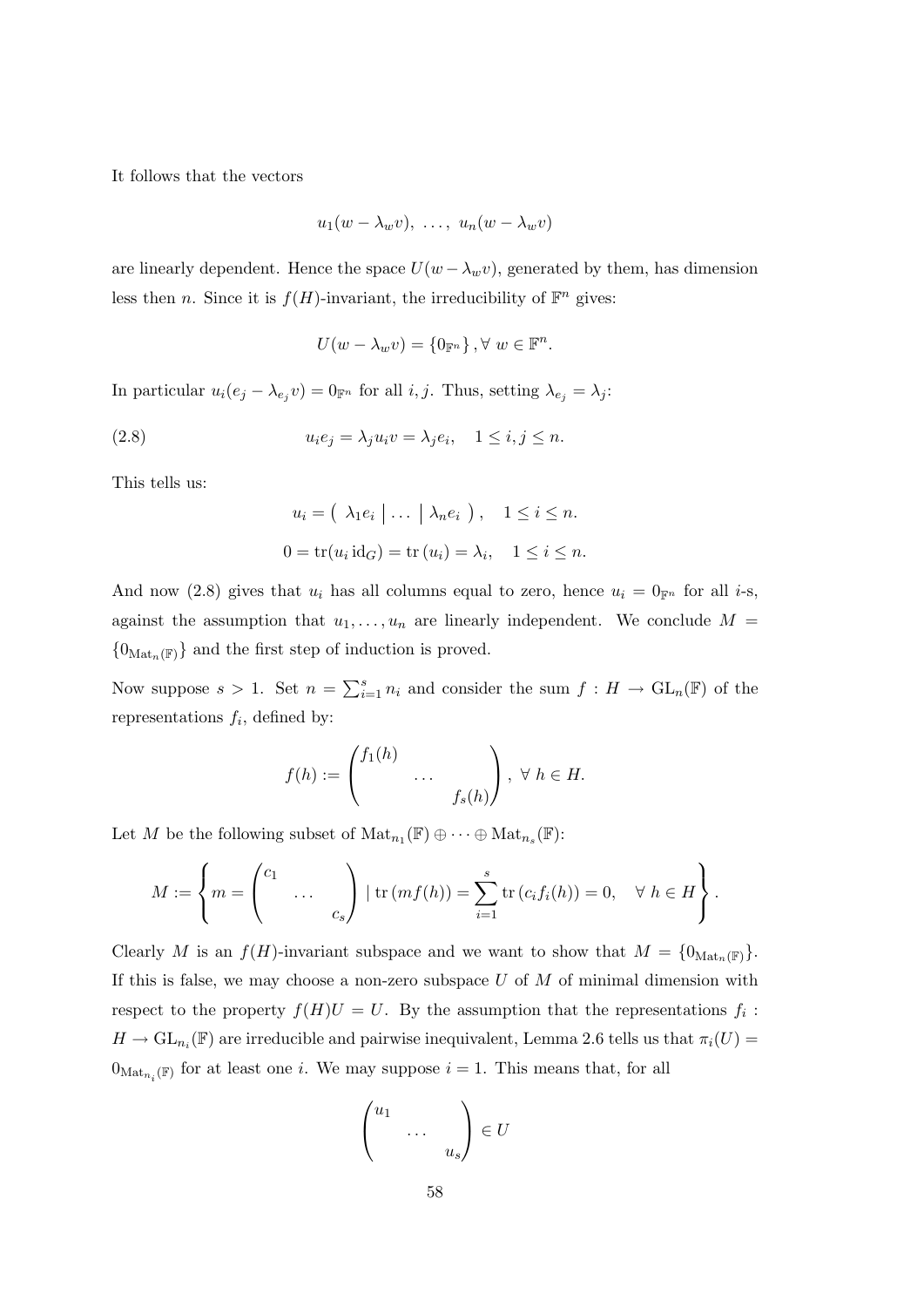It follows that the vectors

$$
u_1(w - \lambda_w v), \ldots, u_n(w - \lambda_w v)
$$

are linearly dependent. Hence the space  $U(w - \lambda_w v)$ , generated by them, has dimension less then *n*. Since it is  $f(H)$ -invariant, the irreducibility of  $\mathbb{F}^n$  gives:

$$
U(w - \lambda_w v) = \{0_{\mathbb{F}^n}\}, \forall w \in \mathbb{F}^n.
$$

In particular  $u_i(e_j - \lambda_{e_j} v) = 0$ <sub>F<sup>n</sup></sub> for all *i*, *j*. Thus, setting  $\lambda_{e_j} = \lambda_j$ :

(2.8) 
$$
u_i e_j = \lambda_j u_i v = \lambda_j e_i, \quad 1 \le i, j \le n.
$$

This tells us:

$$
u_i = (\lambda_1 e_i \mid \dots \mid \lambda_n e_i ), \quad 1 \le i \le n.
$$
  

$$
0 = \text{tr}(u_i \text{id}_G) = \text{tr}(u_i) = \lambda_i, \quad 1 \le i \le n.
$$

And now (2.8) gives that  $u_i$  has all columns equal to zero, hence  $u_i = 0$ <sub>Fn</sub> for all *i*-s, against the assumption that  $u_1, \ldots, u_n$  are linearly independent. We conclude  $M =$  ${0}_{\text{Mat}_n(\mathbb{F})}$  and the first step of induction is proved.

Now suppose  $s > 1$ . Set  $n = \sum_{i=1}^{s} n_i$  and consider the sum  $f : H \to GL_n(\mathbb{F})$  of the representations  $f_i$ , defined by:

$$
f(h) := \begin{pmatrix} f_1(h) & & \\ & \cdots & \\ & & f_s(h) \end{pmatrix}, \ \forall \ h \in H.
$$

Let M be the following subset of  $\mathrm{Mat}_{n_1}(\mathbb{F}) \oplus \cdots \oplus \mathrm{Mat}_{n_s}(\mathbb{F})$ :

$$
M := \left\{ m = \begin{pmatrix} c_1 & & \\ & \dots & \\ & & c_s \end{pmatrix} \mid \text{tr}(mf(h)) = \sum_{i=1}^s \text{tr}(c_i f_i(h)) = 0, \quad \forall \ h \in H \right\}.
$$

Clearly M is an  $f(H)$ -invariant subspace and we want to show that  $M = \{0_{\text{Mat}_n(\mathbb{F})}\}.$ If this is false, we may choose a non-zero subspace  $U$  of  $M$  of minimal dimension with respect to the property  $f(H)U = U$ . By the assumption that the representations  $f_i$ :  $H \to GL_{n_i}(\mathbb{F})$  are irreducible and pairwise inequivalent, Lemma 2.6 tells us that  $\pi_i(U)$  $0_{\text{Mat}_{n_i}(\mathbb{F})}$  for at least one *i*. We may suppose  $i = 1$ . This means that, for all

$$
\begin{pmatrix} u_1 & & \\ & \cdots & \\ & & u_s \end{pmatrix} \in U
$$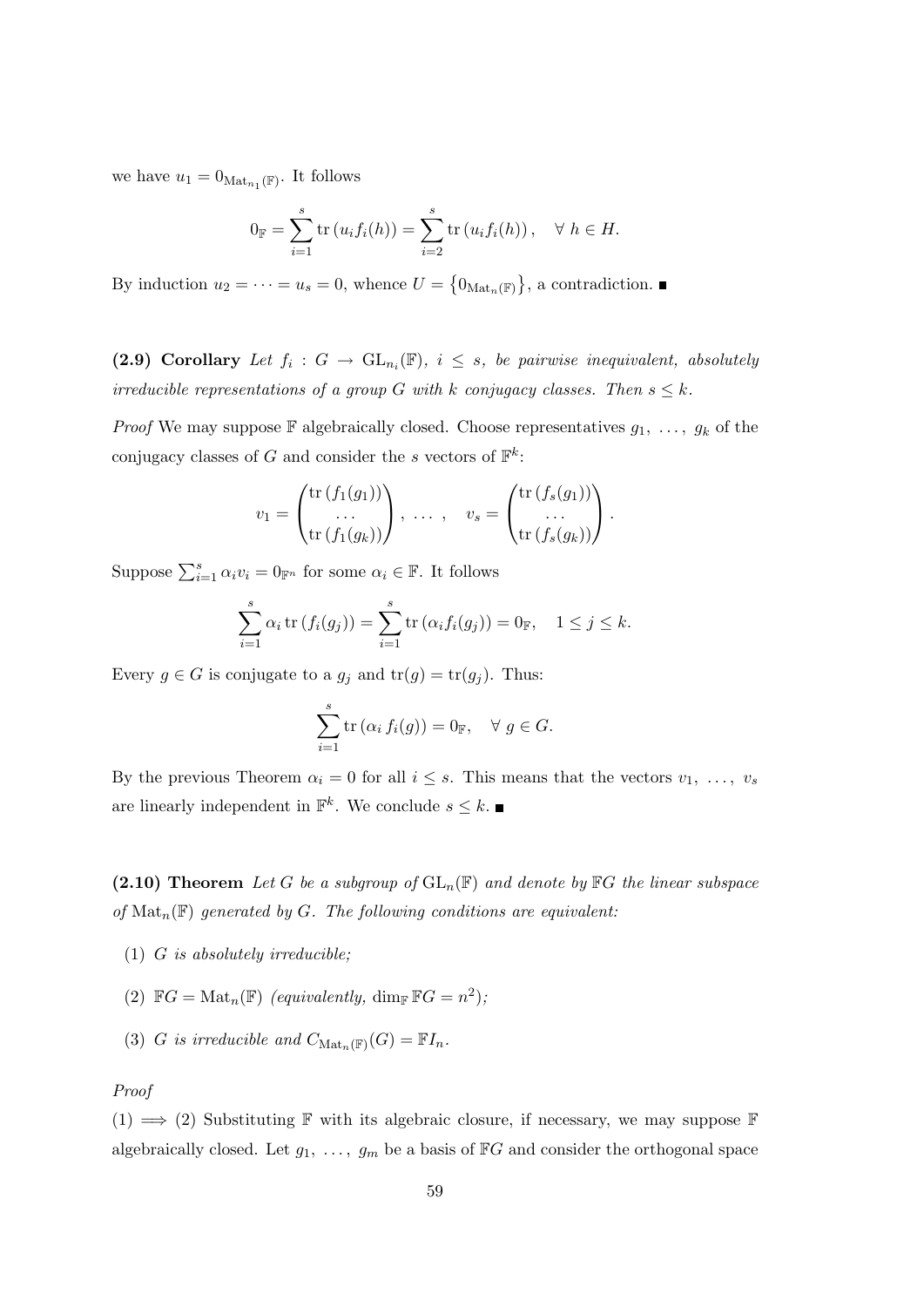we have  $u_1 = 0_{\text{Mat}_{n_1}(\mathbb{F})}$ . It follows

$$
0_{\mathbb{F}} = \sum_{i=1}^{s} \text{tr}(u_i f_i(h)) = \sum_{i=2}^{s} \text{tr}(u_i f_i(h)), \quad \forall \ h \in H.
$$

By induction  $u_2 = \cdots = u_s = 0$ , whence  $U = \{0_{\text{Mat}_n(\mathbb{F})}\}\$ , a contradiction.

(2.9) Corollary Let  $f_i: G \to GL_{n_i}(\mathbb{F})$ ,  $i \leq s$ , be pairwise inequivalent, absolutely irreducible representations of a group G with k conjugacy classes. Then  $s \leq k$ .

*Proof* We may suppose  $\mathbb F$  algebraically closed. Choose representatives  $g_1, \ldots, g_k$  of the conjugacy classes of G and consider the s vectors of  $\mathbb{F}^k$ :

$$
v_1 = \begin{pmatrix} \operatorname{tr}(f_1(g_1)) \\ \dots \\ \operatorname{tr}(f_1(g_k)) \end{pmatrix}, \ \dots \ , \quad v_s = \begin{pmatrix} \operatorname{tr}(f_s(g_1)) \\ \dots \\ \operatorname{tr}(f_s(g_k)) \end{pmatrix}.
$$

Suppose  $\sum_{i=1}^{s} \alpha_i v_i = 0_{\mathbb{F}^n}$  for some  $\alpha_i \in \mathbb{F}$ . It follows

$$
\sum_{i=1}^{s} \alpha_i \operatorname{tr} (f_i(g_j)) = \sum_{i=1}^{s} \operatorname{tr} (\alpha_i f_i(g_j)) = 0_{\mathbb{F}}, \quad 1 \le j \le k.
$$

Every  $g \in G$  is conjugate to a  $g_j$  and  $tr(g) = tr(g_j)$ . Thus:

$$
\sum_{i=1}^{s} \operatorname{tr} (\alpha_i f_i(g)) = 0_{\mathbb{F}}, \quad \forall g \in G.
$$

By the previous Theorem  $\alpha_i = 0$  for all  $i \leq s$ . This means that the vectors  $v_1, \ldots, v_s$ are linearly independent in  $\mathbb{F}^k$ . We conclude  $s \leq k$ .

(2.10) Theorem Let G be a subgroup of  $GL_n(\mathbb{F})$  and denote by  $\mathbb{F}G$  the linear subspace of  $\text{Mat}_n(\mathbb{F})$  generated by G. The following conditions are equivalent:

- $(1)$  *G* is absolutely irreducible;
- (2)  $\mathbb{F}G = \text{Mat}_n(\mathbb{F})$  (equivalently,  $\dim_{\mathbb{F}} \mathbb{F}G = n^2$ ),
- (3) G is irreducible and  $C_{\text{Mat}_n(\mathbb{F})}(G) = \mathbb{F}I_n$ .

#### Proof

 $(1) \implies (2)$  Substituting F with its algebraic closure, if necessary, we may suppose F algebraically closed. Let  $g_1, \ldots, g_m$  be a basis of  $\mathbb{F}G$  and consider the orthogonal space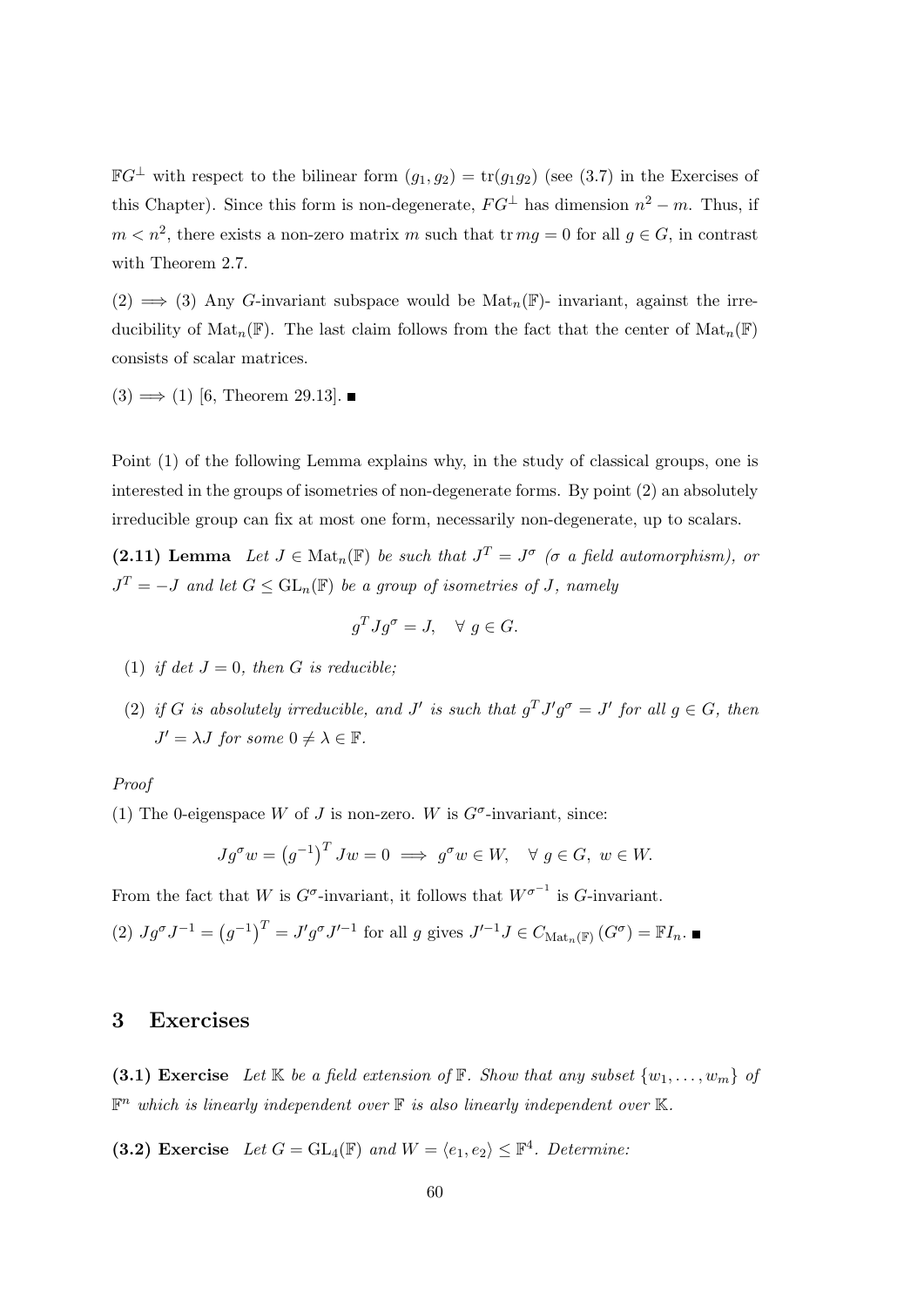$\mathbb{F}G^{\perp}$  with respect to the bilinear form  $(g_1, g_2) = \text{tr}(g_1g_2)$  (see (3.7) in the Exercises of this Chapter). Since this form is non-degenerate,  $FG^{\perp}$  has dimension  $n^2 - m$ . Thus, if  $m < n^2$ , there exists a non-zero matrix m such that  $\text{tr } mg = 0$  for all  $g \in G$ , in contrast with Theorem 2.7.

 $(2) \implies (3)$  Any G-invariant subspace would be  $\text{Mat}_n(\mathbb{F})$ - invariant, against the irreducibility of  $\text{Mat}_n(\mathbb{F})$ . The last claim follows from the fact that the center of  $\text{Mat}_n(\mathbb{F})$ consists of scalar matrices.

 $(3) \Longrightarrow (1)$  [6, Theorem 29.13].

Point (1) of the following Lemma explains why, in the study of classical groups, one is interested in the groups of isometries of non-degenerate forms. By point (2) an absolutely irreducible group can fix at most one form, necessarily non-degenerate, up to scalars.

(2.11) Lemma Let  $J \in Mat_n(\mathbb{F})$  be such that  $J^T = J^{\sigma}$  ( $\sigma$  a field automorphism), or  $J<sup>T</sup> = -J$  and let  $G \leq GL<sub>n</sub>(\mathbb{F})$  be a group of isometries of J, namely

$$
g^T J g^\sigma = J, \quad \forall \ g \in G.
$$

- (1) if det  $J = 0$ , then G is reducible;
- (2) if G is absolutely irreducible, and J' is such that  $g^T J' g^{\sigma} = J'$  for all  $g \in G$ , then  $J' = \lambda J$  for some  $0 \neq \lambda \in \mathbb{F}$ .

#### Proof

(1) The 0-eigenspace W of J is non-zero. W is  $G^{\sigma}$ -invariant, since:

$$
Jg^{\sigma}w = (g^{-1})^T Jw = 0 \implies g^{\sigma}w \in W, \quad \forall g \in G, w \in W.
$$

From the fact that W is  $G^{\sigma}$ -invariant, it follows that  $W^{\sigma^{-1}}$  is  $G$ -invariant.

(2) 
$$
Jg^{\sigma}J^{-1} = (g^{-1})^T = J'g^{\sigma}J'^{-1}
$$
 for all g gives  $J'^{-1}J \in C_{\text{Mat}_n(\mathbb{F})}(G^{\sigma}) = \mathbb{F}I_n$ .

#### 3 Exercises

(3.1) Exercise Let K be a field extension of F. Show that any subset  $\{w_1, \ldots, w_m\}$  of  $\mathbb{F}^n$  which is linearly independent over  $\mathbb F$  is also linearly independent over  $\mathbb K$ .

(3.2) Exercise Let  $G = GL_4(\mathbb{F})$  and  $W = \langle e_1, e_2 \rangle \leq \mathbb{F}^4$ . Determine: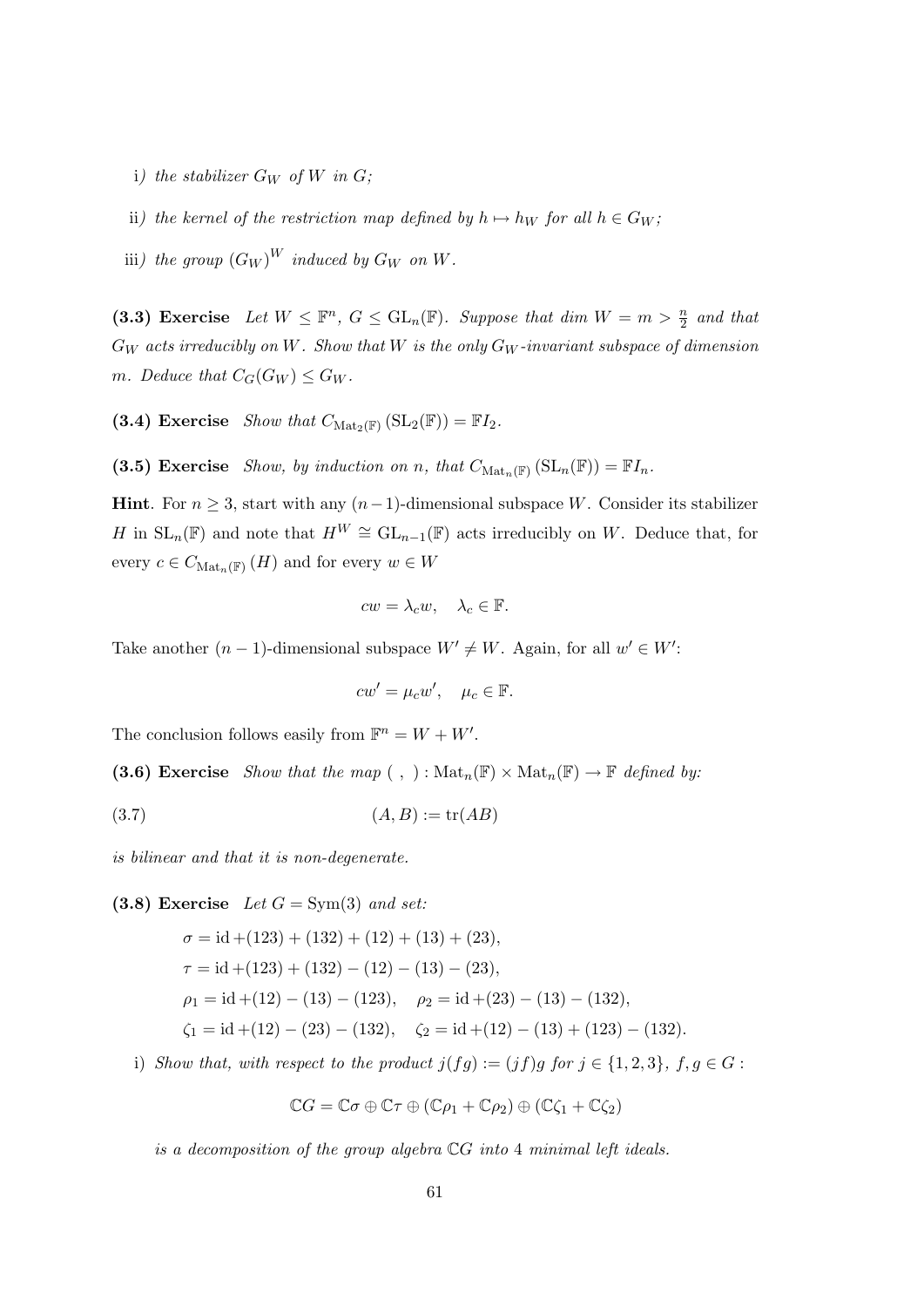- i) the stabilizer  $G_W$  of W in  $G$ ;
- ii) the kernel of the restriction map defined by  $h \mapsto h_W$  for all  $h \in G_W$ ;
- iii) the group  $(G_W)^W$  induced by  $G_W$  on  $W$ .

(3.3) Exercise Let  $W \leq \mathbb{F}^n$ ,  $G \leq GL_n(\mathbb{F})$ . Suppose that dim  $W = m > \frac{n}{2}$  and that  $G_W$  acts irreducibly on W. Show that W is the only  $G_W$ -invariant subspace of dimension m. Deduce that  $C_G(G_W) \leq G_W$ .

(3.4) Exercise Show that  $C_{\text{Mat}_2(\mathbb{F})}(\text{SL}_2(\mathbb{F})) = \mathbb{F}I_2$ .

(3.5) Exercise Show, by induction on n, that  $C_{\text{Mat}_n(\mathbb{F})}(\text{SL}_n(\mathbb{F})) = \mathbb{F}I_n$ .

**Hint**. For  $n \geq 3$ , start with any  $(n-1)$ -dimensional subspace W. Consider its stabilizer H in  $SL_n(\mathbb{F})$  and note that  $H^W \cong GL_{n-1}(\mathbb{F})$  acts irreducibly on W. Deduce that, for every  $c \in C_{\text{Mat}_n(\mathbb{F})}(H)$  and for every  $w \in W$ 

$$
cw = \lambda_c w, \quad \lambda_c \in \mathbb{F}.
$$

Take another  $(n-1)$ -dimensional subspace  $W' \neq W$ . Again, for all  $w' \in W'$ :

$$
cw' = \mu_c w', \quad \mu_c \in \mathbb{F}.
$$

The conclusion follows easily from  $\mathbb{F}^n = W + W'$ .

(3.6) Exercise Show that the map (, ):  $\text{Mat}_n(\mathbb{F}) \times \text{Mat}_n(\mathbb{F}) \to \mathbb{F}$  defined by:

$$
(3.7)\qquad \qquad (A,B):=\text{tr}(AB)
$$

is bilinear and that it is non-degenerate.

(3.8) Exercise Let  $G = Sym(3)$  and set:

$$
\sigma = id + (123) + (132) + (12) + (13) + (23),
$$
  
\n
$$
\tau = id + (123) + (132) - (12) - (13) - (23),
$$
  
\n
$$
\rho_1 = id + (12) - (13) - (123), \quad \rho_2 = id + (23) - (13) - (132),
$$
  
\n
$$
\zeta_1 = id + (12) - (23) - (132), \quad \zeta_2 = id + (12) - (13) + (123) - (132).
$$

i) Show that, with respect to the product  $j(fg) := (jf)g$  for  $j \in \{1,2,3\}, f, g \in G$ :

$$
\mathbb{C}G = \mathbb{C}\sigma \oplus \mathbb{C}\tau \oplus (\mathbb{C}\rho_1 + \mathbb{C}\rho_2) \oplus (\mathbb{C}\zeta_1 + \mathbb{C}\zeta_2)
$$

is a decomposition of the group algebra CG into 4 minimal left ideals.